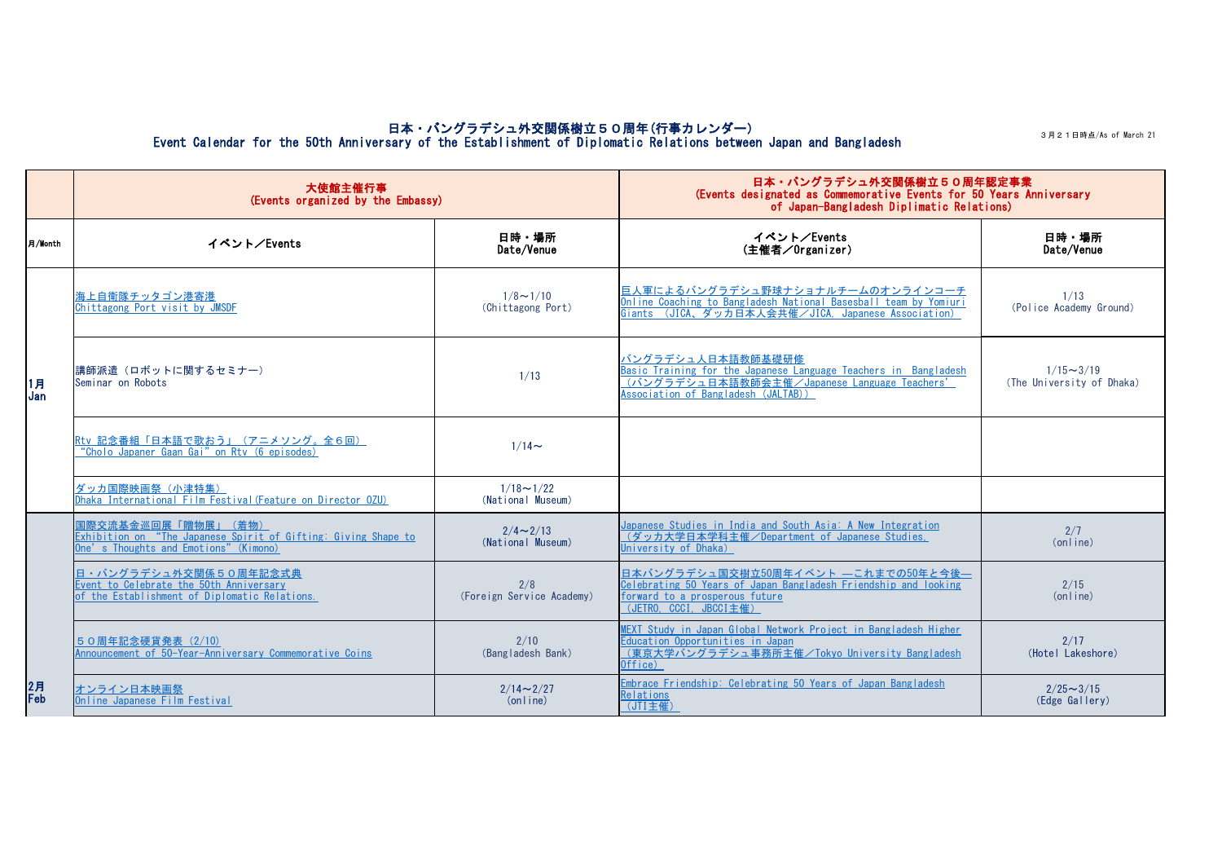3月21日時点/As of March 21

|           | 大使館主催行事<br>(Events organized by the Embassy)                                                                                                |                                       | 日本・バングラデシュ外交関係樹立50周年認定事業<br>(Events designated as Commemorative Events for 50 Years Anniversary<br>of Japan-Bangladesh Diplimatic Relations)                                                                                                          |                                               |
|-----------|---------------------------------------------------------------------------------------------------------------------------------------------|---------------------------------------|-------------------------------------------------------------------------------------------------------------------------------------------------------------------------------------------------------------------------------------------------------|-----------------------------------------------|
| 月/Month   | イベント/Events                                                                                                                                 | 日時・場所<br>Date/Venue                   | イベント/Events<br>(主催者/Organizer)                                                                                                                                                                                                                        | 日時・場所<br>Date/Venue                           |
| 1月<br>Jan | <u> 海上自衛隊チッタゴン港寄港</u><br>Chittagong Port visit by JMSDF                                                                                     | $1/8 \sim 1/10$<br>(Chittagong Port)  | <u> 巨人軍によるバングラデシュ野球ナショナルチームのオンラインコーチ</u><br>Online Coaching to Bangladesh National Basesball team by Yomiuri<br>Giants (JICA、ダッカ日本人会共催/JICA, Japanese Association)                                                                                    | 1/13<br>(Police Academy Ground)               |
|           | 講師派遣(ロボットに関するセミナー)<br>Seminar on Robots                                                                                                     | 1/13                                  | <u>バングラデシュ人日本語教師基礎研修</u><br>Basic Training for the Japanese Language Teachers in Bangladesh<br><u>(バングラデシュ日本語教師会主催/Japanese Language Teachers'</u><br><u>Association of Bangladesh (JALTAB))</u>                                                      | $1/15 \sim 3/19$<br>(The University of Dhaka) |
|           | Rtv 記念番組「日本語で歌おう」 (アニメソング。全6回)<br>"Cholo Japaner Gaan Gai" on Rtv (6 episodes)                                                              | $1/14$ ~                              |                                                                                                                                                                                                                                                       |                                               |
|           | ダッカ国際映画祭(小津特集)<br>Dhaka International Film Festival (Feature on Director 0ZU)                                                               | $1/18 \sim 1/22$<br>(National Museum) |                                                                                                                                                                                                                                                       |                                               |
| 2月<br>Feb | <u>国際交流基金巡回展「贈物展」(着物)</u><br>Exhibition on "The Japanese Spirit of Gifting: Giving Shape to<br><u>One's Thoughts and Emotions" (Kimono)</u> | $2/4 \sim 2/13$<br>(National Museum)  | <u>Japanese Studies in India and South Asia: A New Integration</u><br><u>(ダッカ大学日本学科主催/Department of Japanese Studies,</u><br>University of Dhaka)                                                                                                     | 2/7<br>(online)                               |
|           | 日·バングラデシュ外交関係50周年記念式典<br>Event to Celebrate the 50th Anniversary<br>of the Establishment of Diplomatic Relations.                           | 2/8<br>(Foreign Service Academy)      | 日本バングラデシュ国交樹立50周年イベント ―これまでの50年と今後―<br>Celebrating 50 Years of Japan Bangladesh Friendship and looking<br>forward to a prosperous future<br>$(\overline{\mathsf{JETRO}}, \overline{\mathsf{CCCI}}, \overline{\mathsf{JBCCI} \pm \text{\texttt{fE}}})$ | 2/15<br>(on line)                             |
|           | 50周年記念硬貨発表 (2/10)<br>Announcement of 50-Year-Anniversary Commemorative Coins                                                                | 2/10<br>(Bangladesh Bank)             | MEXT Study in Japan Global Network Project in Bangladesh Higher<br>Education Opportunities in Japan<br><u>(東京大学バングラデシュ事務所主催/Tokyo University Bangladesh</u><br>Office)                                                                                | 2/17<br>(Hotel Lakeshore)                     |
|           | <u> オンライン日本映画祭</u>  <br>Online Japanese Film Festival                                                                                       | $2/14 \sim 2/27$<br>(on line)         | Embrace Friendship: Celebrating 50 Years of Japan Bangladesh<br>Relations<br>(JTI主催)                                                                                                                                                                  | $2/25 \sim 3/15$<br>(Edge Gallery)            |

## 日本・バングラデシュ外交関係樹立50周年(行事カレンダー) Event Calendar for the 50th Anniversary of the Establishment of Diplomatic Relations between Japan and Bangladesh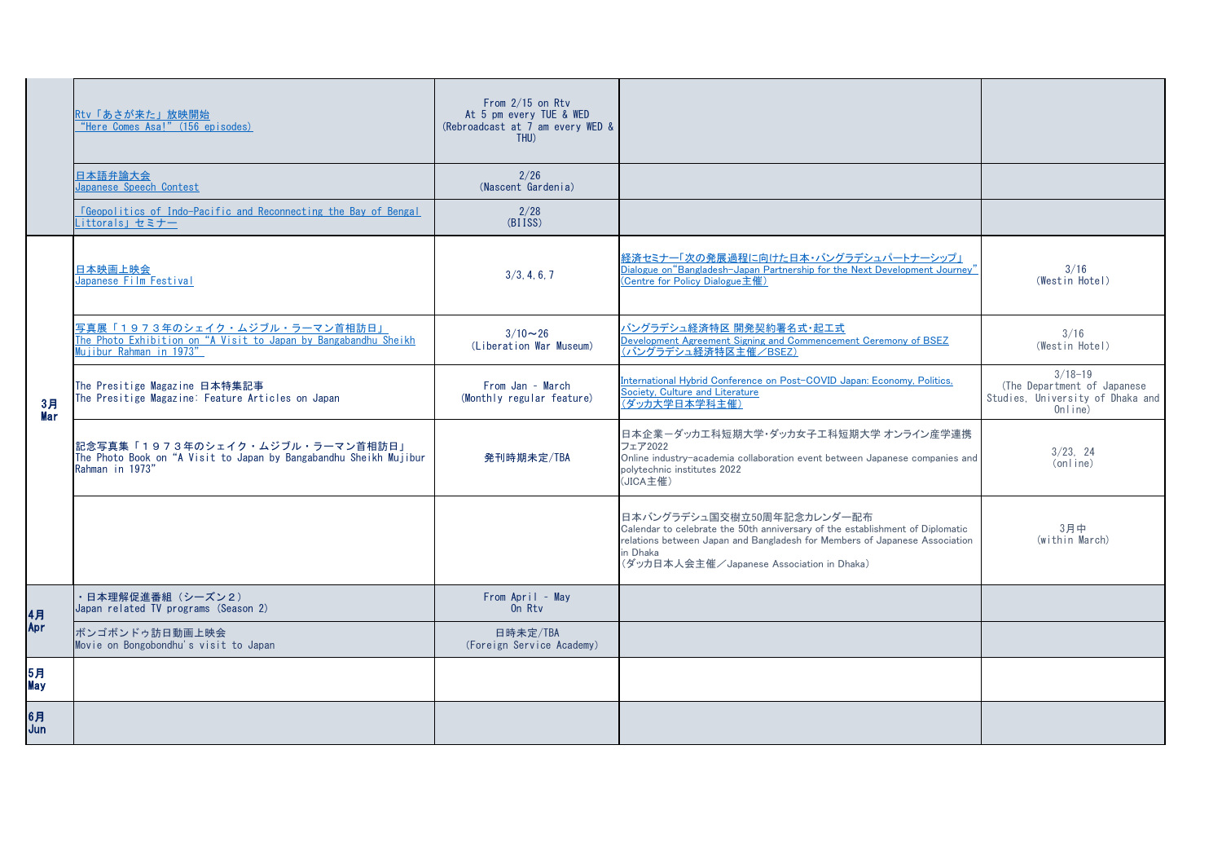|                  | Rtv「あさが来た」放映開始<br>"Here Comes Asa!" (156 episodes)                                                                                  | From $2/15$ on Rtv<br>At 5 pm every TUE & WED<br>(Rebroadcast at 7 am every WED &<br>THU) |                                                                                                                                                                                                                                                    |                                                                                           |
|------------------|-------------------------------------------------------------------------------------------------------------------------------------|-------------------------------------------------------------------------------------------|----------------------------------------------------------------------------------------------------------------------------------------------------------------------------------------------------------------------------------------------------|-------------------------------------------------------------------------------------------|
|                  | 日本語弁論大会<br>Japanese Speech Contest                                                                                                  | 2/26<br>(Nascent Gardenia)                                                                |                                                                                                                                                                                                                                                    |                                                                                           |
|                  | <u><b>I</b>Geopolitics</u> of Indo-Pacific and Reconnecting the Bay of Bengal<br>Littorals」セミナー                                     | 2/28<br>(BIISS)                                                                           |                                                                                                                                                                                                                                                    |                                                                                           |
| 3月<br>Mar        | 日本映画上映会<br>Japanese Film Festival                                                                                                   | 3/3, 4, 6, 7                                                                              | 経済セミナー「次の発展過程に向けた日本・バングラデシュパートナーシップ」<br>Dialogue on "Bangladesh-Japan Partnership for the Next Development Journey'<br><u>(Centre for Policy Dialogue主催)</u>                                                                                       | 3/16<br>(Westin Hotel)                                                                    |
|                  | 5 真展「1973年のシェイク・ムジブル・ラーマン首相訪日」<br>The Photo Exhibition on "A Visit to Japan by Bangabandhu Sheikh<br><u>Mujibur Rahman in 1973"</u> | $3/10 \sim 26$<br>(Liberation War Museum)                                                 | バングラデシュ経済特区 開発契約署名式・起工式<br>Development Agreement Signing and Commencement Ceremony of BSEZ<br>(バングラデシュ経済特区主催/BSEZ)                                                                                                                                 | 3/16<br>(Westin Hotel)                                                                    |
|                  | The Presitige Magazine 日本特集記事<br>The Presitige Magazine: Feature Articles on Japan                                                  | From Jan - March<br>(Monthly regular feature)                                             | International Hybrid Conference on Post-COVID Japan: Economy, Politics,<br>Society, Culture and Literature<br>(ダッカ大学日本学科主催)                                                                                                                        | $3/18 - 19$<br>(The Department of Japanese<br>Studies, University of Dhaka and<br>Online) |
|                  | 記念写真集「1973年のシェイク・ムジブル・ラーマン首相訪日」<br>The Photo Book on "A Visit to Japan by Bangabandhu Sheikh Mujibur<br>Rahman in 1973"             | 発刊時期未定/TBA                                                                                | 日本企業-ダッカエ科短期大学・ダッカ女子工科短期大学 オンライン産学連携<br>フェア2022<br>Online industry-academia collaboration event between Japanese companies and<br>polytechnic institutes 2022<br>(JICA主催)                                                                          | 3/23, 24<br>(online)                                                                      |
|                  |                                                                                                                                     |                                                                                           | 日本バングラデシュ国交樹立50周年記念カレンダー配布<br>Calendar to celebrate the 50th anniversary of the establishment of Diplomatic<br>relations between Japan and Bangladesh for Members of Japanese Association<br>in Dhaka<br>(ダッカ日本人会主催/Japanese Association in Dhaka) | 3月中<br>(within March)                                                                     |
| 4月<br>Apr        | 日本理解促進番組 (シーズン2)<br>Japan related TV programs (Season 2)                                                                            | From April - May<br>On Rtv                                                                |                                                                                                                                                                                                                                                    |                                                                                           |
|                  | ボンゴボンドゥ訪日動画上映会<br>Movie on Bongobondhu's visit to Japan                                                                             | 日時未定/TBA<br>(Foreign Service Academy)                                                     |                                                                                                                                                                                                                                                    |                                                                                           |
| 5月<br><b>May</b> |                                                                                                                                     |                                                                                           |                                                                                                                                                                                                                                                    |                                                                                           |
| 6月<br>Jun        |                                                                                                                                     |                                                                                           |                                                                                                                                                                                                                                                    |                                                                                           |